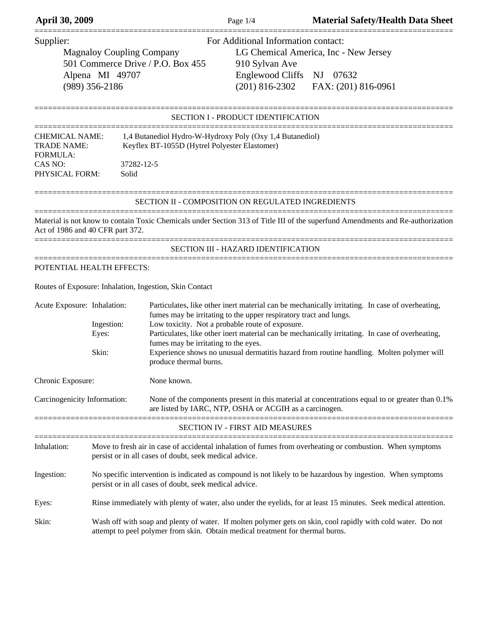| Aprii 30, 2009                                                                                                            |                                                                                                                                                                                                |                                                                | Page 1/4                                                                                                                                                   | Material Safety/Fieahin Data Sheet                                                                                                                                                                                                                                                             |  |
|---------------------------------------------------------------------------------------------------------------------------|------------------------------------------------------------------------------------------------------------------------------------------------------------------------------------------------|----------------------------------------------------------------|------------------------------------------------------------------------------------------------------------------------------------------------------------|------------------------------------------------------------------------------------------------------------------------------------------------------------------------------------------------------------------------------------------------------------------------------------------------|--|
| Supplier:<br><b>Magnaloy Coupling Company</b><br>501 Commerce Drive / P.O. Box 455<br>Alpena MI 49707<br>$(989)$ 356-2186 |                                                                                                                                                                                                |                                                                | For Additional Information contact:<br>910 Sylvan Ave<br><b>Englewood Cliffs</b><br>$(201)$ 816-2302                                                       | LG Chemical America, Inc - New Jersey<br>NJ 07632<br>FAX: (201) 816-0961                                                                                                                                                                                                                       |  |
|                                                                                                                           |                                                                                                                                                                                                |                                                                | <b>SECTION I - PRODUCT IDENTIFICATION</b>                                                                                                                  |                                                                                                                                                                                                                                                                                                |  |
| <b>CHEMICAL NAME:</b><br><b>TRADE NAME:</b><br><b>FORMULA:</b><br>CAS NO:<br>PHYSICAL FORM:                               | Solid                                                                                                                                                                                          | Keyflex BT-1055D (Hytrel Polyester Elastomer)<br>37282-12-5    | 1,4 Butanediol Hydro-W-Hydroxy Poly (Oxy 1,4 Butanediol)                                                                                                   |                                                                                                                                                                                                                                                                                                |  |
|                                                                                                                           |                                                                                                                                                                                                |                                                                | SECTION II - COMPOSITION ON REGULATED INGREDIENTS                                                                                                          |                                                                                                                                                                                                                                                                                                |  |
| Act of 1986 and 40 CFR part 372.                                                                                          |                                                                                                                                                                                                |                                                                |                                                                                                                                                            | Material is not know to contain Toxic Chemicals under Section 313 of Title III of the superfund Amendments and Re-authorization                                                                                                                                                                |  |
|                                                                                                                           |                                                                                                                                                                                                |                                                                | SECTION III - HAZARD IDENTIFICATION                                                                                                                        |                                                                                                                                                                                                                                                                                                |  |
| POTENTIAL HEALTH EFFECTS:                                                                                                 |                                                                                                                                                                                                |                                                                |                                                                                                                                                            |                                                                                                                                                                                                                                                                                                |  |
|                                                                                                                           |                                                                                                                                                                                                | Routes of Exposure: Inhalation, Ingestion, Skin Contact        |                                                                                                                                                            |                                                                                                                                                                                                                                                                                                |  |
| Acute Exposure: Inhalation:                                                                                               | Ingestion:<br>Eyes:<br>Skin:                                                                                                                                                                   | fumes may be irritating to the eyes.<br>produce thermal burns. | fumes may be irritating to the upper respiratory tract and lungs.<br>Low toxicity. Not a probable route of exposure.                                       | Particulates, like other inert material can be mechanically irritating. In case of overheating,<br>Particulates, like other inert material can be mechanically irritating. In case of overheating,<br>Experience shows no unusual dermatitis hazard from routine handling. Molten polymer will |  |
| Chronic Exposure:<br>None known.                                                                                          |                                                                                                                                                                                                |                                                                |                                                                                                                                                            |                                                                                                                                                                                                                                                                                                |  |
| Carcinogenicity Information:                                                                                              |                                                                                                                                                                                                |                                                                | None of the components present in this material at concentrations equal to or greater than 0.1%<br>are listed by IARC, NTP, OSHA or ACGIH as a carcinogen. |                                                                                                                                                                                                                                                                                                |  |
|                                                                                                                           |                                                                                                                                                                                                |                                                                | SECTION IV - FIRST AID MEASURES                                                                                                                            |                                                                                                                                                                                                                                                                                                |  |
| Inhalation:                                                                                                               | Move to fresh air in case of accidental inhalation of fumes from overheating or combustion. When symptoms<br>persist or in all cases of doubt, seek medical advice.                            |                                                                |                                                                                                                                                            |                                                                                                                                                                                                                                                                                                |  |
| Ingestion:                                                                                                                | No specific intervention is indicated as compound is not likely to be hazardous by ingestion. When symptoms<br>persist or in all cases of doubt, seek medical advice.                          |                                                                |                                                                                                                                                            |                                                                                                                                                                                                                                                                                                |  |
| Eyes:                                                                                                                     | Rinse immediately with plenty of water, also under the eyelids, for at least 15 minutes. Seek medical attention.                                                                               |                                                                |                                                                                                                                                            |                                                                                                                                                                                                                                                                                                |  |
| Skin:                                                                                                                     | Wash off with soap and plenty of water. If molten polymer gets on skin, cool rapidly with cold water. Do not<br>attempt to peel polymer from skin. Obtain medical treatment for thermal burns. |                                                                |                                                                                                                                                            |                                                                                                                                                                                                                                                                                                |  |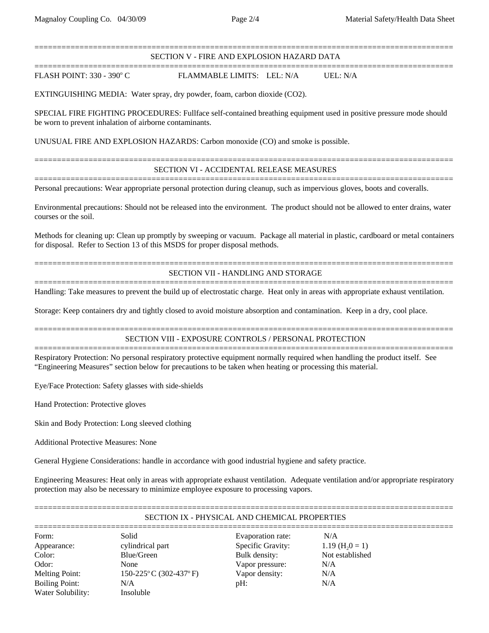#### ============================================================================================= SECTION V - FIRE AND EXPLOSION HAZARD DATA

FLASH POINT: 330 - 390° C

============================================================================================= FLAMMABLE LIMITS: LEL: N/A UEL: N/A

EXTINGUISHING MEDIA: Water spray, dry powder, foam, carbon dioxide (CO2).

SPECIAL FIRE FIGHTING PROCEDURES: Fullface self-contained breathing equipment used in positive pressure mode should be worn to prevent inhalation of airborne contaminants.

UNUSUAL FIRE AND EXPLOSION HAZARDS: Carbon monoxide (CO) and smoke is possible.

# ============================================================================================= SECTION VI - ACCIDENTAL RELEASE MEASURES =============================================================================================

Personal precautions: Wear appropriate personal protection during cleanup, such as impervious gloves, boots and coveralls.

Environmental precautions: Should not be released into the environment. The product should not be allowed to enter drains, water courses or the soil.

Methods for cleaning up: Clean up promptly by sweeping or vacuum. Package all material in plastic, cardboard or metal containers for disposal. Refer to Section 13 of this MSDS for proper disposal methods.

# ============================================================================================= SECTION VII - HANDLING AND STORAGE =============================================================================================

Handling: Take measures to prevent the build up of electrostatic charge. Heat only in areas with appropriate exhaust ventilation.

Storage: Keep containers dry and tightly closed to avoid moisture absorption and contamination. Keep in a dry, cool place.

## ============================================================================================= SECTION VIII - EXPOSURE CONTROLS / PERSONAL PROTECTION

============================================================================================= Respiratory Protection: No personal respiratory protective equipment normally required when handling the product itself. See "Engineering Measures" section below for precautions to be taken when heating or processing this material.

Eye/Face Protection: Safety glasses with side-shields

Hand Protection: Protective gloves

Skin and Body Protection: Long sleeved clothing

Additional Protective Measures: None

General Hygiene Considerations: handle in accordance with good industrial hygiene and safety practice.

Engineering Measures: Heat only in areas with appropriate exhaust ventilation. Adequate ventilation and/or appropriate respiratory protection may also be necessary to minimize employee exposure to processing vapors.

| SECTION IX - PHYSICAL AND CHEMICAL PROPERTIES |                          |                   |                               |  |  |  |
|-----------------------------------------------|--------------------------|-------------------|-------------------------------|--|--|--|
|                                               |                          |                   |                               |  |  |  |
| Form:                                         | Solid                    | Evaporation rate: | N/A                           |  |  |  |
| Appearance:                                   | cylindrical part         | Specific Gravity: | $1.19$ (H <sub>2</sub> 0 = 1) |  |  |  |
| Color:                                        | Blue/Green               | Bulk density:     | Not established               |  |  |  |
| Odor:                                         | <b>None</b>              | Vapor pressure:   | N/A                           |  |  |  |
| Melting Point:                                | $150-225$ °C (302-437°F) | Vapor density:    | N/A                           |  |  |  |
| <b>Boiling Point:</b>                         | N/A                      | pH:               | N/A                           |  |  |  |
| Water Solubility:                             | Insoluble                |                   |                               |  |  |  |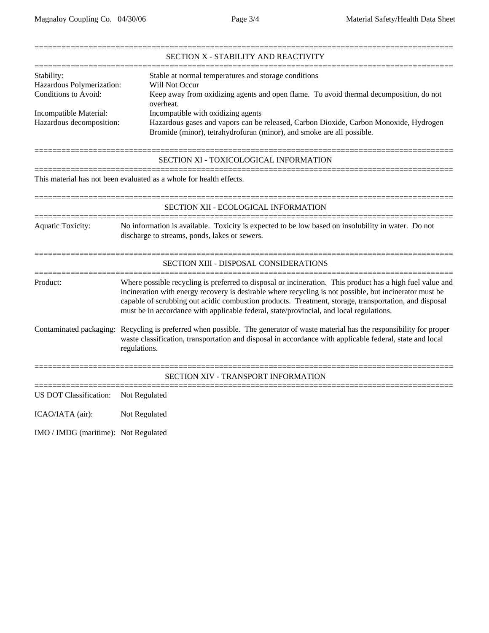|                                      | SECTION X - STABILITY AND REACTIVITY                                                                                                                                                                                                                                                                                                                                                                                     |  |  |  |
|--------------------------------------|--------------------------------------------------------------------------------------------------------------------------------------------------------------------------------------------------------------------------------------------------------------------------------------------------------------------------------------------------------------------------------------------------------------------------|--|--|--|
| Stability:                           | Stable at normal temperatures and storage conditions                                                                                                                                                                                                                                                                                                                                                                     |  |  |  |
| Hazardous Polymerization:            | Will Not Occur                                                                                                                                                                                                                                                                                                                                                                                                           |  |  |  |
| Conditions to Avoid:                 | Keep away from oxidizing agents and open flame. To avoid thermal decomposition, do not<br>overheat.                                                                                                                                                                                                                                                                                                                      |  |  |  |
| Incompatible Material:               | Incompatible with oxidizing agents                                                                                                                                                                                                                                                                                                                                                                                       |  |  |  |
| Hazardous decomposition:             | Hazardous gases and vapors can be released, Carbon Dioxide, Carbon Monoxide, Hydrogen                                                                                                                                                                                                                                                                                                                                    |  |  |  |
|                                      | Bromide (minor), tetrahydrofuran (minor), and smoke are all possible.                                                                                                                                                                                                                                                                                                                                                    |  |  |  |
|                                      | SECTION XI - TOXICOLOGICAL INFORMATION                                                                                                                                                                                                                                                                                                                                                                                   |  |  |  |
|                                      | This material has not been evaluated as a whole for health effects.                                                                                                                                                                                                                                                                                                                                                      |  |  |  |
|                                      | SECTION XII - ECOLOGICAL INFORMATION                                                                                                                                                                                                                                                                                                                                                                                     |  |  |  |
| <b>Aquatic Toxicity:</b>             | No information is available. Toxicity is expected to be low based on insolubility in water. Do not<br>discharge to streams, ponds, lakes or sewers.                                                                                                                                                                                                                                                                      |  |  |  |
|                                      | SECTION XIII - DISPOSAL CONSIDERATIONS                                                                                                                                                                                                                                                                                                                                                                                   |  |  |  |
| Product:                             | Where possible recycling is preferred to disposal or incineration. This product has a high fuel value and<br>incineration with energy recovery is desirable where recycling is not possible, but incinerator must be<br>capable of scrubbing out acidic combustion products. Treatment, storage, transportation, and disposal<br>must be in accordance with applicable federal, state/provincial, and local regulations. |  |  |  |
|                                      | Contaminated packaging: Recycling is preferred when possible. The generator of waste material has the responsibility for proper<br>waste classification, transportation and disposal in accordance with applicable federal, state and local<br>regulations.                                                                                                                                                              |  |  |  |
|                                      | SECTION XIV - TRANSPORT INFORMATION                                                                                                                                                                                                                                                                                                                                                                                      |  |  |  |
| US DOT Classification:               | Not Regulated                                                                                                                                                                                                                                                                                                                                                                                                            |  |  |  |
| ICAO/IATA (air):                     | Not Regulated                                                                                                                                                                                                                                                                                                                                                                                                            |  |  |  |
| IMO / IMDG (maritime): Not Regulated |                                                                                                                                                                                                                                                                                                                                                                                                                          |  |  |  |